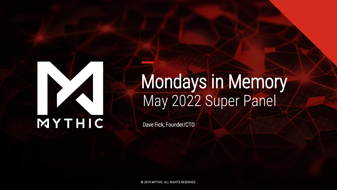

## Mondays in Memory May 2022 Super Panel

Dave Fick, Founder/CTO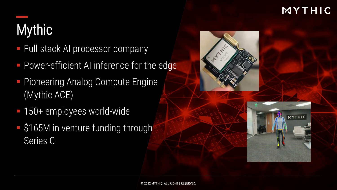## **Mythic**

- **Full-stack AI processor company**
- **Power-efficient AI inference for the edge**
- **Pioneering Analog Compute Engine** (Mythic ACE)
- 150+ employees world-wide
- \$165M in venture funding through Series C

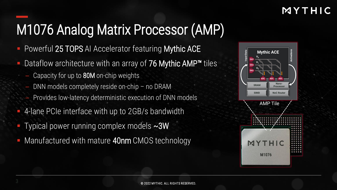## M1076 Analog Matrix Processor (AMP)

- Powerful 25 TOPS AI Accelerator featuring Mythic ACE
- Dataflow architecture with an array of  $76$  Mythic AMP<sup>™</sup> tiles
	- Capacity for up to 80M on-chip weights
	- DNN models completely reside on-chip no DRAM
	- Provides low-latency deterministic execution of DNN models
- 4-lane PCIe interface with up to 2GB/s bandwidth
- Typical power running complex models  $\sim$ 3W
- Manufactured with mature 40nm CMOS technology

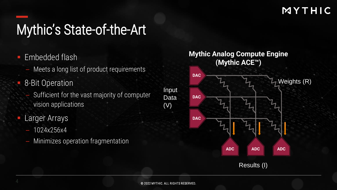## Mythic's State-of-the-Art

- Embedded flash
	- Meets a long list of product requirements
- 8-Bit Operation
	- Sufficient for the vast majority of computer vision applications
- Larger Arrays
	- 1024x256x4
	- Minimizes operation fragmentation



Results (I)

(V)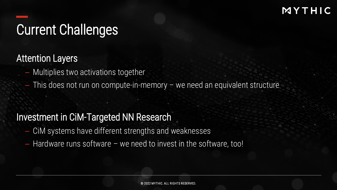## Current Challenges

Attention Layers

- Multiplies two activations together
- This does not run on compute-in-memory we need an equivalent structure

#### Investment in CiM-Targeted NN Research

- CiM systems have different strengths and weaknesses
- $-$  Hardware runs software  $-$  we need to invest in the software, too!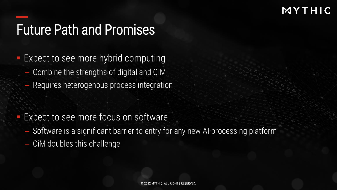### Future Path and Promises

Expect to see more hybrid computing

- Combine the strengths of digital and CiM
- Requires heterogenous process integration

Expect to see more focus on software

- Software is a significant barrier to entry for any new AI processing platform
- CiM doubles this challenge